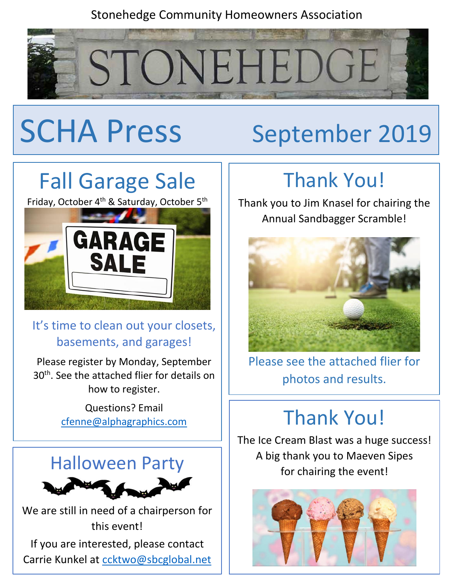#### Stonehedge Community Homeowners Association



# SCHA Press September 2019

## Fall Garage Sale

Friday, October 4<sup>th</sup> & Saturday, October 5<sup>th</sup>



#### It's time to clean out your closets, basements, and garages!

Please register by Monday, September 30<sup>th</sup>. See the attached flier for details on how to register.

> Questions? Email [cfenne@alphagraphics.com](mailto:cfenne@alphagraphics.com)



We are still in need of a chairperson for this event! If you are interested, please contact Carrie Kunkel at [ccktwo@sbcglobal.net](mailto:ccktwo@sbcglobal.net)

### Thank You!

Thank you to Jim Knasel for chairing the Annual Sandbagger Scramble!



Please see the attached flier for photos and results.

### Thank You!

The Ice Cream Blast was a huge success! A big thank you to Maeven Sipes for chairing the event!

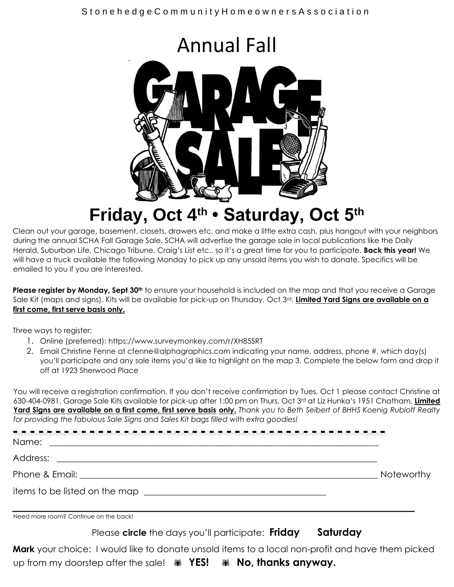

### **Friday, Oct 4th • Saturday, Oct 5th**

Clean out your garage, basement, closets, drawers etc. and make a little extra cash, plus hangout with your neighbors during the annual SCHA Fall Garage Sale. SCHA will advertise the garage sale in local publications like the Daily Herald, Suburban Life, Chicago Tribune, Craig's List etc., so it's a great time for you to participate. **Back this year!** We will have a truck available the following Monday to pick up any unsold items you wish to donate. Specifics will be emailed to you if you are interested.

**Please register by Monday, Sept 30th** to ensure your household is included on the map and that you receive a Garage Sale Kit (maps and signs). Kits will be available for pick-up on Thursday, Oct 3rd. **Limited Yard Signs are available on a first come, first serve basis only.**

Three ways to register:

- 1. Online (preferred): https://www.surveymonkey.com/r/XH85SRT
- 2. Email Christine Fenne at cfenne@alphagraphics.com indicating your name, address, phone #, which day(s) you'll participate and any sale items you'd like to highlight on the map 3. Complete the below form and drop it off at 1923 Sherwood Place

You will receive a registration confirmation. If you don't receive confirmation by Tues, Oct 1 please contact Christine at 630-404-0981. Garage Sale Kits available for pick-up after 1:00 pm on Thurs, Oct 3rd at Liz Hunka's 1951 Chatham. **Limited Yard Signs are available on a first come, first serve basis only.** *Thank you to Beth Seibert of BHHS Koenig Rubloff Realty for providing the fabulous Sale Signs and Sales Kit bags filled with extra goodies!* 

|                                       | <b>Noteworthy</b> |
|---------------------------------------|-------------------|
|                                       |                   |
| Need more room? Continue on the back! |                   |

Please **circle** the days you'll participate: **Friday** Saturday

**Mark** your choice: I would like to donate unsold items to a local non-profit and have them picked up from my doorstep after the sale!  **YES! No, thanks anyway.**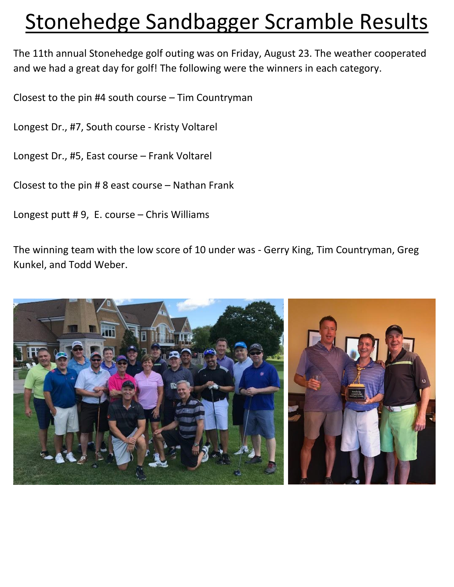### Stonehedge Sandbagger Scramble Results

The 11th annual Stonehedge golf outing was on Friday, August 23. The weather cooperated and we had a great day for golf! The following were the winners in each category.

Closest to the pin #4 south course – Tim Countryman

Longest Dr., #7, South course - Kristy Voltarel

Longest Dr., #5, East course – Frank Voltarel

Closest to the pin # 8 east course – Nathan Frank

Longest putt # 9, E. course – Chris Williams

The winning team with the low score of 10 under was - Gerry King, Tim Countryman, Greg Kunkel, and Todd Weber.